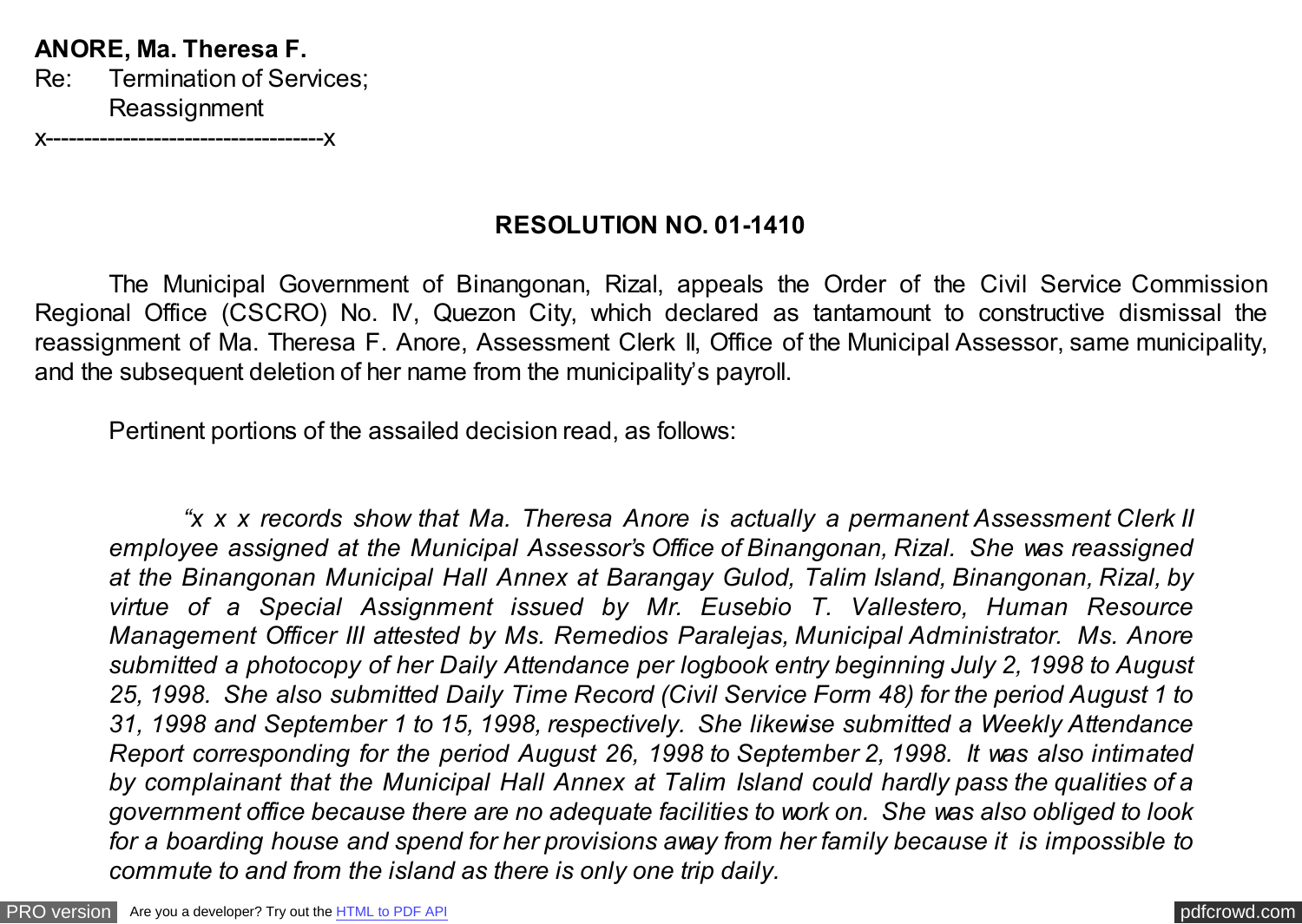**ANORE, Ma. Theresa F.** Re: Termination of Services; **Reassignment** 

x------------------------------------x

## **RESOLUTION NO. 01-1410**

The Municipal Government of Binangonan, Rizal, appeals the Order of the Civil Service Commission Regional Office (CSCRO) No. IV, Quezon City, which declared as tantamount to constructive dismissal the reassignment of Ma. Theresa F. Anore, Assessment Clerk II, Office of the Municipal Assessor, same municipality, and the subsequent deletion of her name from the municipality's payroll.

Pertinent portions of the assailed decision read, as follows:

*"x x x records show that Ma. Theresa Anore is actually a permanent Assessment Clerk II employee assigned at the Municipal Assessor's Office of Binangonan, Rizal. She was reassigned at the Binangonan Municipal Hall Annex at Barangay Gulod, Talim Island, Binangonan, Rizal, by virtue of a Special Assignment issued by Mr. Eusebio T. Vallestero, Human Resource Management Officer III attested by Ms. Remedios Paralejas, Municipal Administrator. Ms. Anore submitted a photocopy of her Daily Attendance per logbook entry beginning July 2, 1998 to August 25, 1998. She also submitted Daily Time Record (Civil Service Form 48) for the period August 1 to 31, 1998 and September 1 to 15, 1998, respectively. She likewise submitted a Weekly Attendance Report corresponding for the period August 26, 1998 to September 2, 1998. It was also intimated by complainant that the Municipal Hall Annex at Talim Island could hardly pass the qualities of a government office because there are no adequate facilities to work on. She was also obliged to look for a boarding house and spend for her provisions away from her family because it is impossible to commute to and from the island as there is only one trip daily.*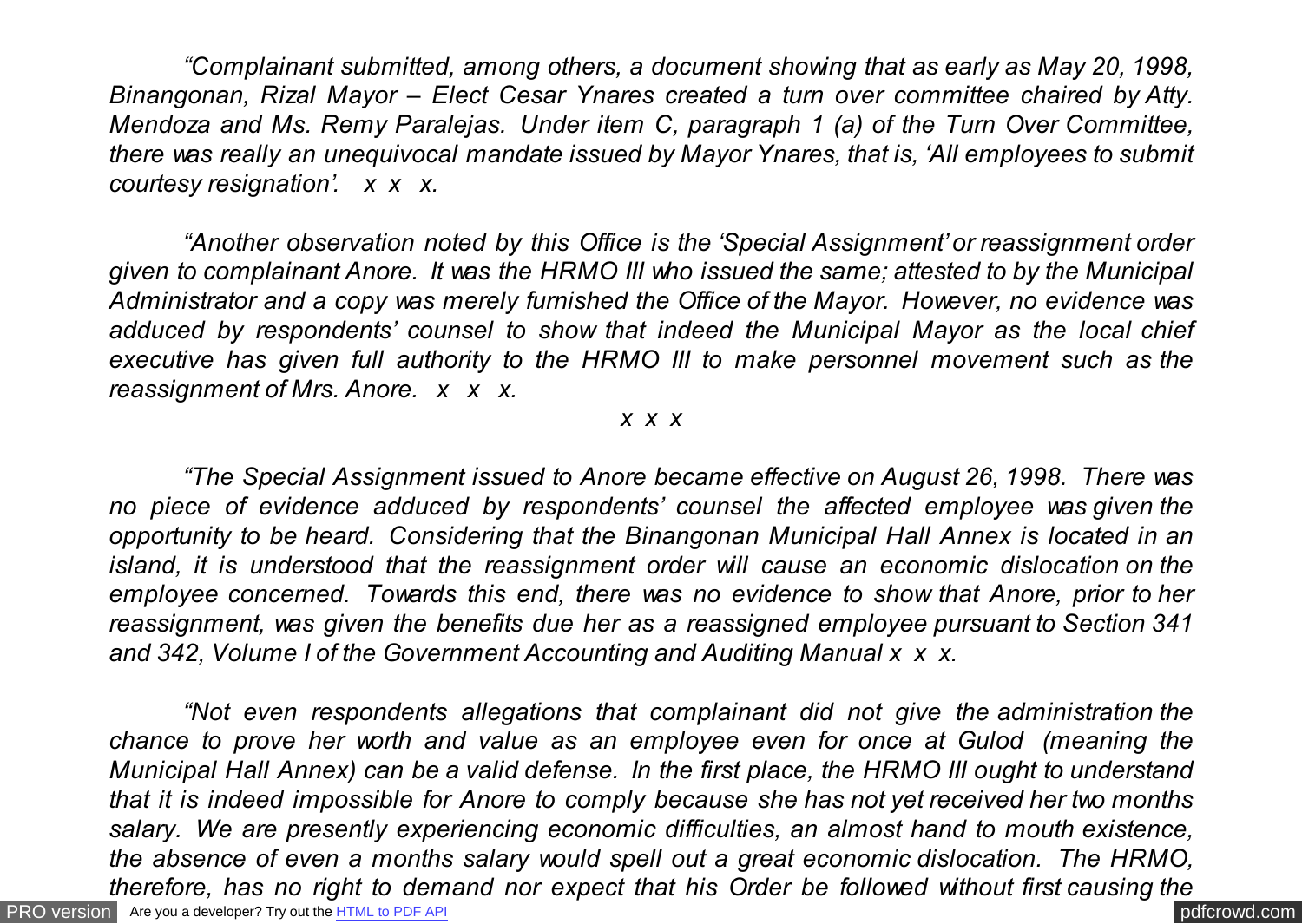*"Complainant submitted, among others, a document showing that as early as May 20, 1998, Binangonan, Rizal Mayor – Elect Cesar Ynares created a turn over committee chaired by Atty. Mendoza and Ms. Remy Paralejas. Under item C, paragraph 1 (a) of the Turn Over Committee, there was really an unequivocal mandate issued by Mayor Ynares, that is, 'All employees to submit courtesy resignation'. x x x.*

*"Another observation noted by this Office is the 'Special Assignment' or reassignment order given to complainant Anore. It was the HRMO III who issued the same; attested to by the Municipal Administrator and a copy was merely furnished the Office of the Mayor. However, no evidence was adduced by respondents' counsel to show that indeed the Municipal Mayor as the local chief executive has given full authority to the HRMO III to make personnel movement such as the reassignment of Mrs. Anore. x x x.*

## *x x x*

*"The Special Assignment issued to Anore became effective on August 26, 1998. There was no piece of evidence adduced by respondents' counsel the affected employee was given the opportunity to be heard. Considering that the Binangonan Municipal Hall Annex is located in an island, it is understood that the reassignment order will cause an economic dislocation on the employee concerned. Towards this end, there was no evidence to show that Anore, prior to her reassignment, was given the benefits due her as a reassigned employee pursuant to Section 341 and 342, Volume I of the Government Accounting and Auditing Manual x x x.*

[PRO version](http://pdfcrowd.com/customize/) Are you a developer? Try out th[e HTML to PDF API](http://pdfcrowd.com/html-to-pdf-api/?ref=pdf) contract the community of the HTML to PDF API [pdfcrowd.com](http://pdfcrowd.com) *"Not even respondents allegations that complainant did not give the administration the chance to prove her worth and value as an employee even for once at Gulod (meaning the Municipal Hall Annex) can be a valid defense. In the first place, the HRMO III ought to understand that it is indeed impossible for Anore to comply because she has not yet received her two months salary. We are presently experiencing economic difficulties, an almost hand to mouth existence, the absence of even a months salary would spell out a great economic dislocation. The HRMO, therefore, has no right to demand nor expect that his Order be followed without first causing the*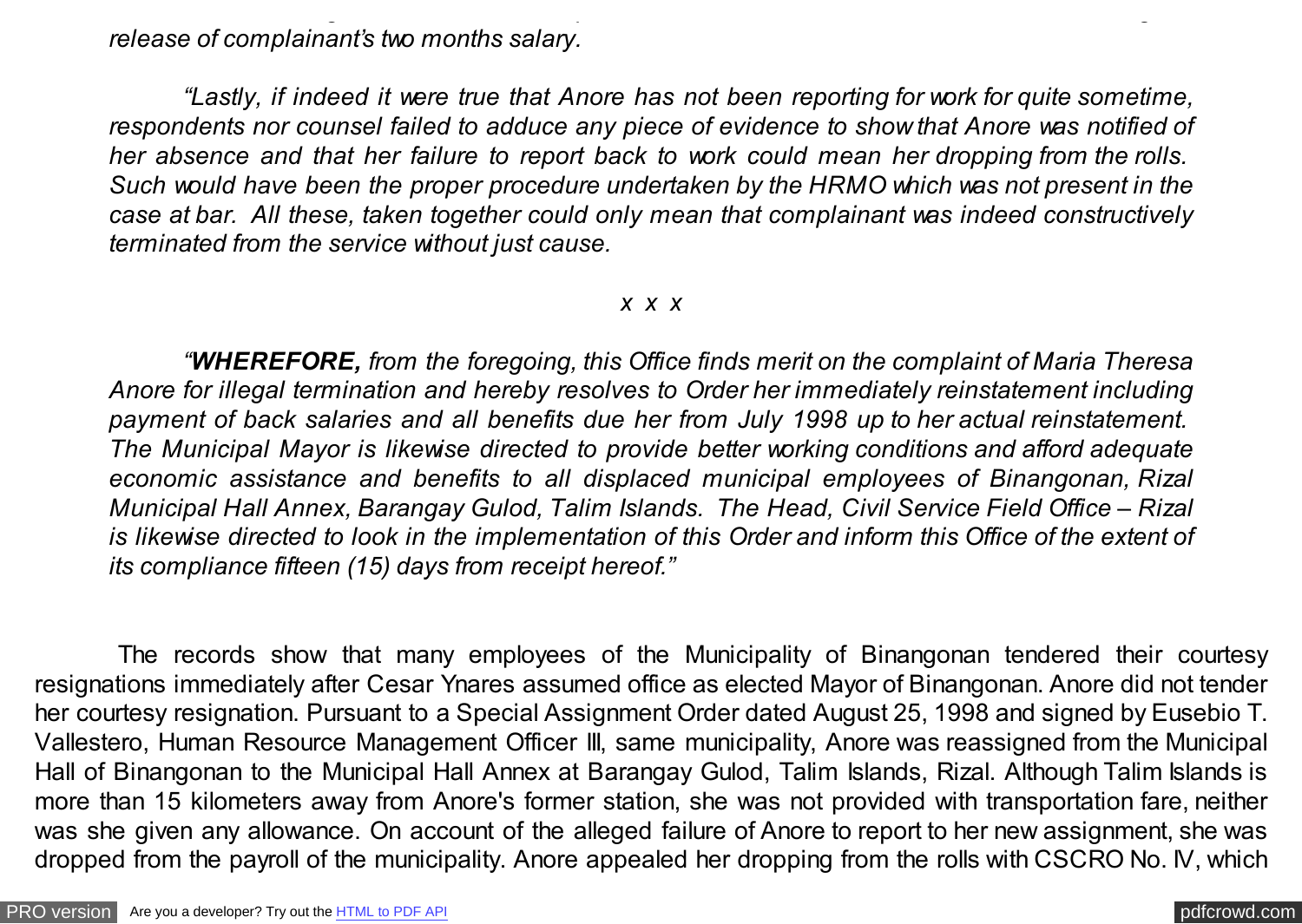*release of complainant's two months salary.*

*"Lastly, if indeed it were true that Anore has not been reporting for work for quite sometime, respondents nor counsel failed to adduce any piece of evidence to show that Anore was notified of her absence and that her failure to report back to work could mean her dropping from the rolls. Such would have been the proper procedure undertaken by the HRMO which was not present in the case at bar. All these, taken together could only mean that complainant was indeed constructively terminated from the service without just cause.*

*therefore, has no right to demand nor expect that his Order be followed without first causing the*

## *x x x*

*"WHEREFORE, from the foregoing, this Office finds merit on the complaint of Maria Theresa Anore for illegal termination and hereby resolves to Order her immediately reinstatement including payment of back salaries and all benefits due her from July 1998 up to her actual reinstatement. The Municipal Mayor is likewise directed to provide better working conditions and afford adequate economic assistance and benefits to all displaced municipal employees of Binangonan, Rizal Municipal Hall Annex, Barangay Gulod, Talim Islands. The Head, Civil Service Field Office – Rizal is likewise directed to look in the implementation of this Order and inform this Office of the extent of its compliance fifteen (15) days from receipt hereof."*

 The records show that many employees of the Municipality of Binangonan tendered their courtesy resignations immediately after Cesar Ynares assumed office as elected Mayor of Binangonan. Anore did not tender her courtesy resignation. Pursuant to a Special Assignment Order dated August 25, 1998 and signed by Eusebio T. Vallestero, Human Resource Management Officer III, same municipality, Anore was reassigned from the Municipal Hall of Binangonan to the Municipal Hall Annex at Barangay Gulod, Talim Islands, Rizal. Although Talim Islands is more than 15 kilometers away from Anore's former station, she was not provided with transportation fare, neither was she given any allowance. On account of the alleged failure of Anore to report to her new assignment, she was dropped from the payroll of the municipality. Anore appealed her dropping from the rolls with CSCRO No. IV, which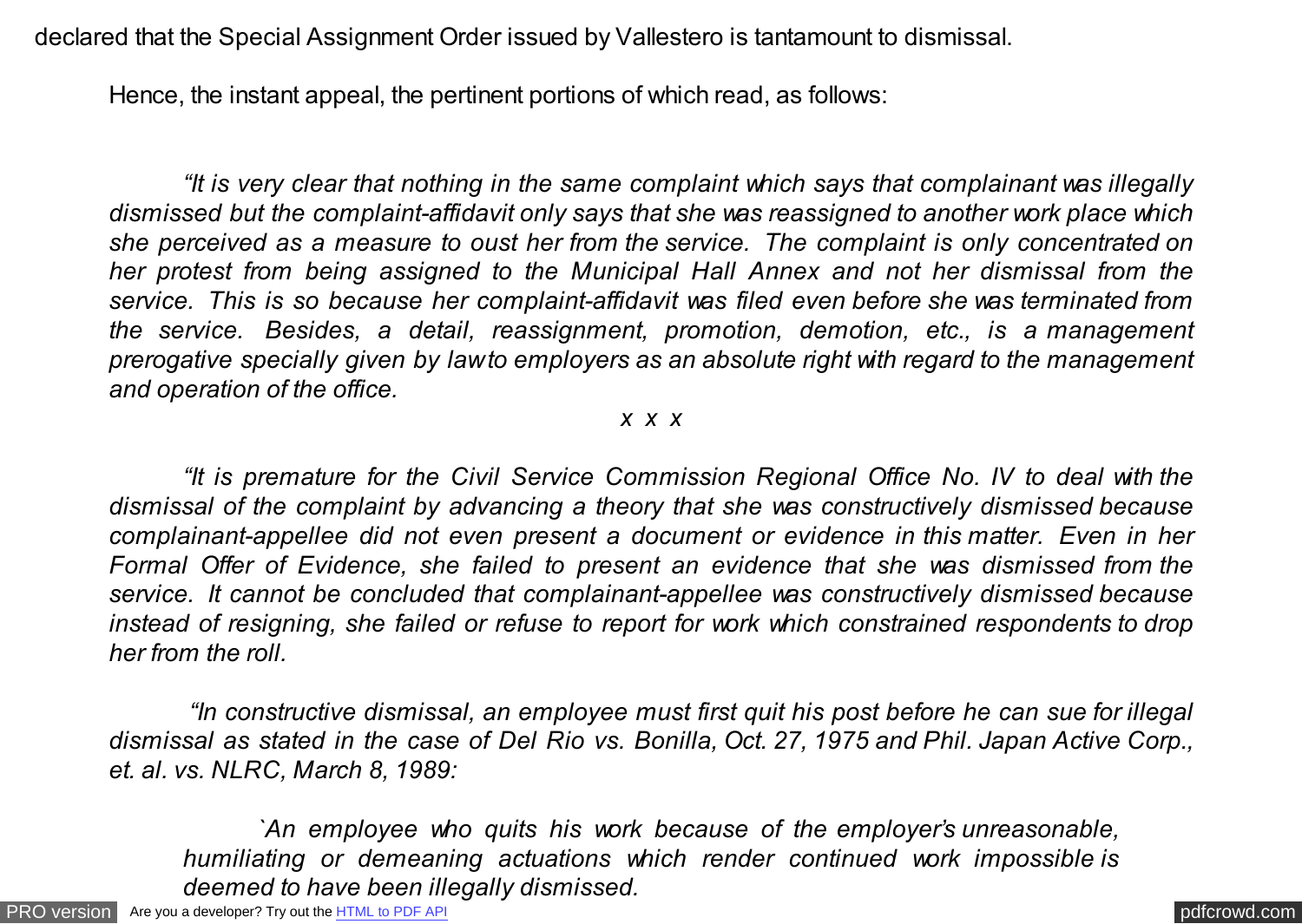declared that the Special Assignment Order issued by Vallestero is tantamount to dismissal.

Hence, the instant appeal, the pertinent portions of which read, as follows:

*"It is very clear that nothing in the same complaint which says that complainant was illegally dismissed but the complaint-affidavit only says that she was reassigned to another work place which she perceived as a measure to oust her from the service. The complaint is only concentrated on her protest from being assigned to the Municipal Hall Annex and not her dismissal from the service. This is so because her complaint-affidavit was filed even before she was terminated from the service. Besides, a detail, reassignment, promotion, demotion, etc., is a management prerogative specially given by law to employers as an absolute right with regard to the management and operation of the office.*

## *x x x*

*"It is premature for the Civil Service Commission Regional Office No. IV to deal with the dismissal of the complaint by advancing a theory that she was constructively dismissed because complainant-appellee did not even present a document or evidence in this matter. Even in her Formal Offer of Evidence, she failed to present an evidence that she was dismissed from the service. It cannot be concluded that complainant-appellee was constructively dismissed because instead of resigning, she failed or refuse to report for work which constrained respondents to drop her from the roll.*

*"In constructive dismissal, an employee must first quit his post before he can sue for illegal dismissal as stated in the case of Del Rio vs. Bonilla, Oct. 27, 1975 and Phil. Japan Active Corp., et. al. vs. NLRC, March 8, 1989:*

*`An employee who quits his work because of the employer's unreasonable, humiliating or demeaning actuations which render continued work impossible is deemed to have been illegally dismissed.*

[PRO version](http://pdfcrowd.com/customize/) Are you a developer? Try out th[e HTML to PDF API](http://pdfcrowd.com/html-to-pdf-api/?ref=pdf) [pdfcrowd.com](http://pdfcrowd.com)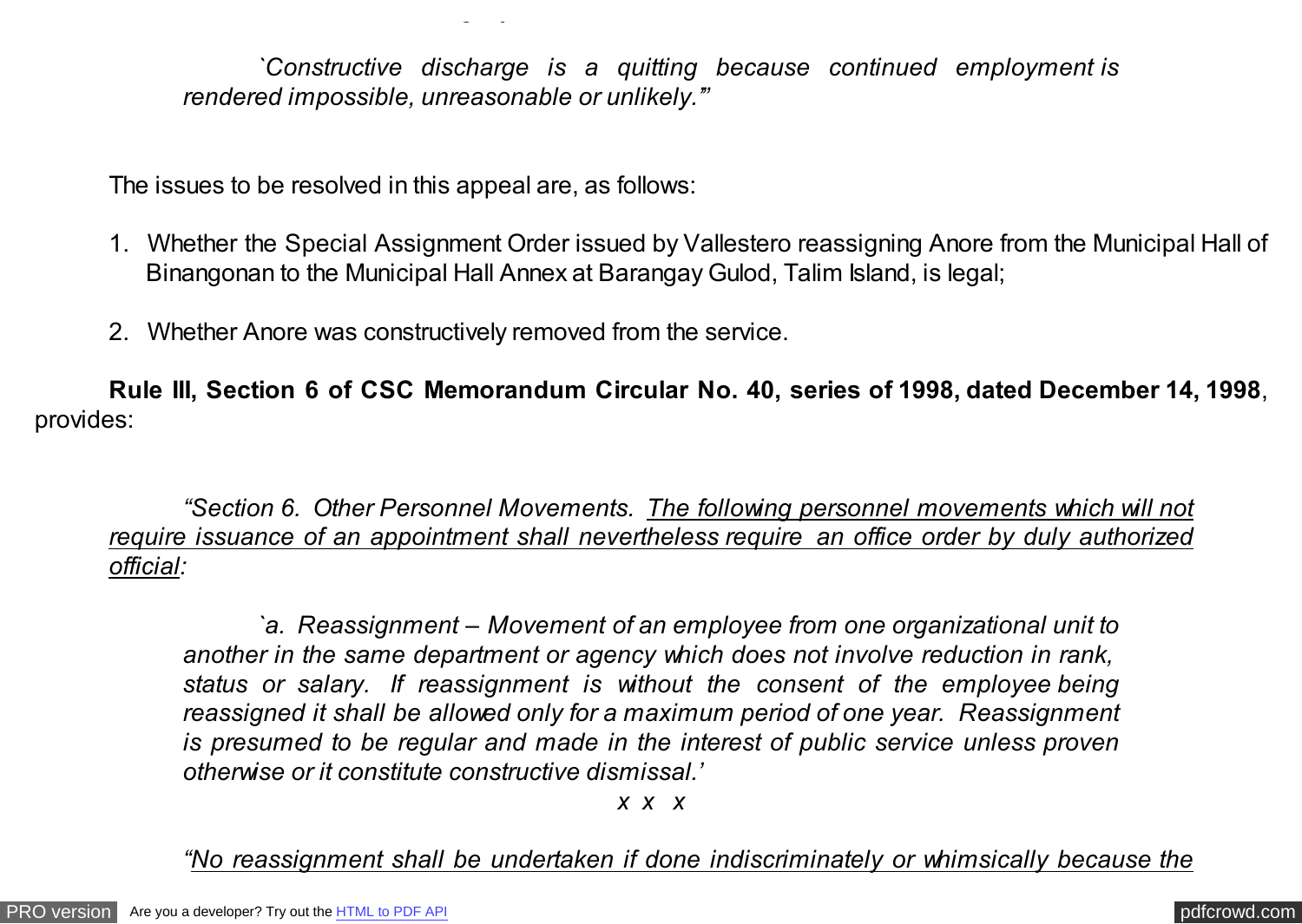*`Constructive discharge is a quitting because continued employment is rendered impossible, unreasonable or unlikely.'"*

The issues to be resolved in this appeal are, as follows:

*deemed to have been illegally dismissed.*

- 1. Whether the Special Assignment Order issued by Vallestero reassigning Anore from the Municipal Hall of Binangonan to the Municipal Hall Annex at Barangay Gulod, Talim Island, is legal;
- 2. Whether Anore was constructively removed from the service.

**Rule III, Section 6 of CSC Memorandum Circular No. 40, series of 1998, dated December 14, 1998**, provides:

*"Section 6. Other Personnel Movements. The following personnel movements which will not require issuance of an appointment shall nevertheless require an office order by duly authorized official:*

*`a. Reassignment – Movement of an employee from one organizational unit to another in the same department or agency which does not involve reduction in rank, status or salary. If reassignment is without the consent of the employee being reassigned it shall be allowed only for a maximum period of one year. Reassignment is presumed to be regular and made in the interest of public service unless proven otherwise or it constitute constructive dismissal.'*

*x x x*

*"No reassignment shall be undertaken if done indiscriminately or whimsically because the*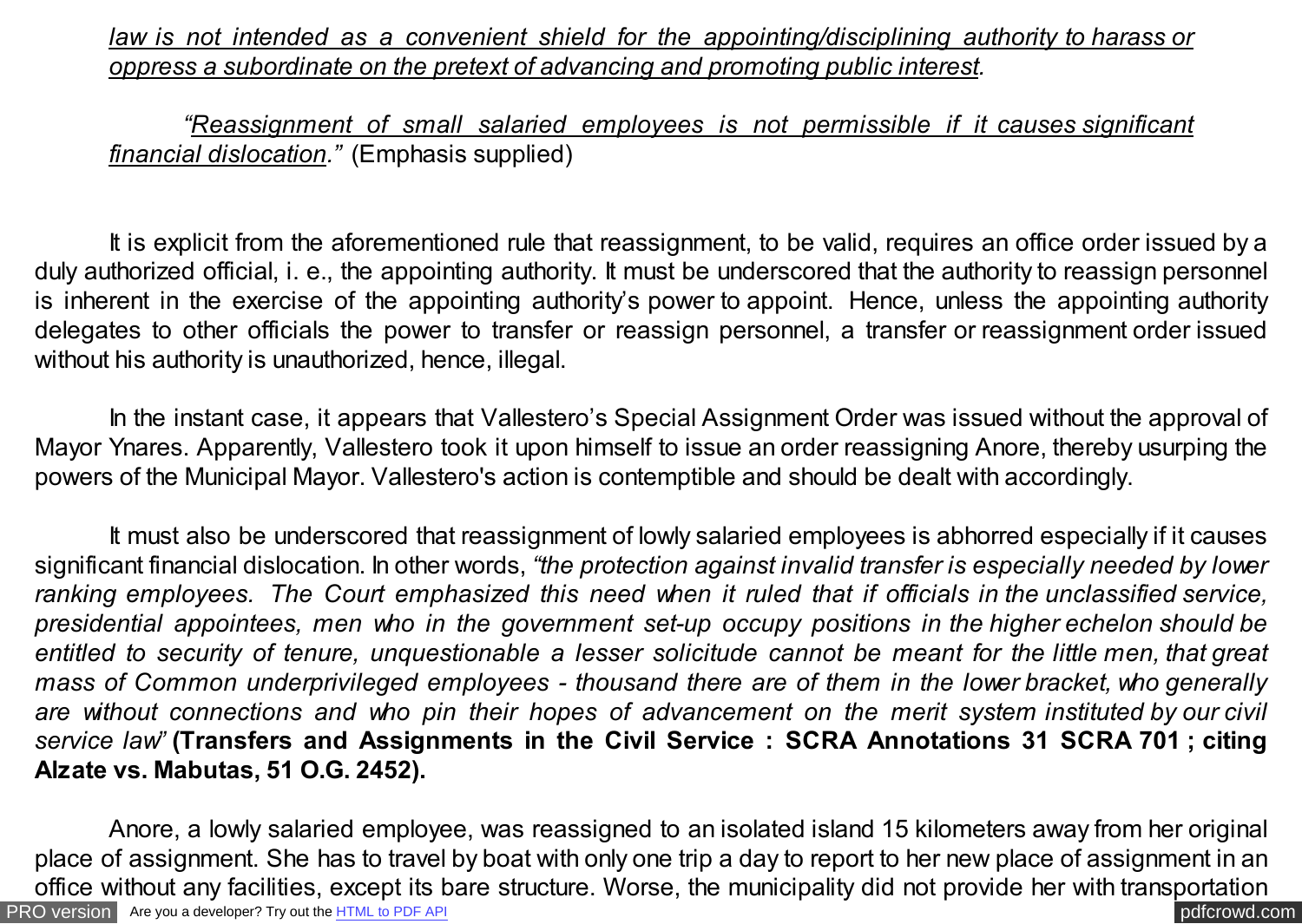*law is not intended as a convenient shield for the appointing/disciplining authority to harass or oppress a subordinate on the pretext of advancing and promoting public interest.*

*"Reassignment of small salaried employees is not permissible if it causes significant financial dislocation."* (Emphasis supplied)

It is explicit from the aforementioned rule that reassignment, to be valid, requires an office order issued by a duly authorized official, i. e., the appointing authority. It must be underscored that the authority to reassign personnel is inherent in the exercise of the appointing authority's power to appoint. Hence, unless the appointing authority delegates to other officials the power to transfer or reassign personnel, a transfer or reassignment order issued without his authority is unauthorized, hence, illegal.

In the instant case, it appears that Vallestero's Special Assignment Order was issued without the approval of Mayor Ynares. Apparently, Vallestero took it upon himself to issue an order reassigning Anore, thereby usurping the powers of the Municipal Mayor. Vallestero's action is contemptible and should be dealt with accordingly.

It must also be underscored that reassignment of lowly salaried employees is abhorred especially if it causes significant financial dislocation. In other words, *"the protection against invalid transfer is especially needed by lower ranking employees. The Court emphasized this need when it ruled that if officials in the unclassified service, presidential appointees, men who in the government set-up occupy positions in the higher echelon should be entitled to security of tenure, unquestionable a lesser solicitude cannot be meant for the little men, that great mass of Common underprivileged employees - thousand there are of them in the lower bracket, who generally are without connections and who pin their hopes of advancement on the merit system instituted by our civil service law"* **(Transfers and Assignments in the Civil Service : SCRA Annotations 31 SCRA 701 ; citing Alzate vs. Mabutas, 51 O.G. 2452).**

[PRO version](http://pdfcrowd.com/customize/) Are you a developer? Try out th[e HTML to PDF API](http://pdfcrowd.com/html-to-pdf-api/?ref=pdf) pdf crowd.com Anore, a lowly salaried employee, was reassigned to an isolated island 15 kilometers away from her original place of assignment. She has to travel by boat with only one trip a day to report to her new place of assignment in an office without any facilities, except its bare structure. Worse, the municipality did not provide her with transportation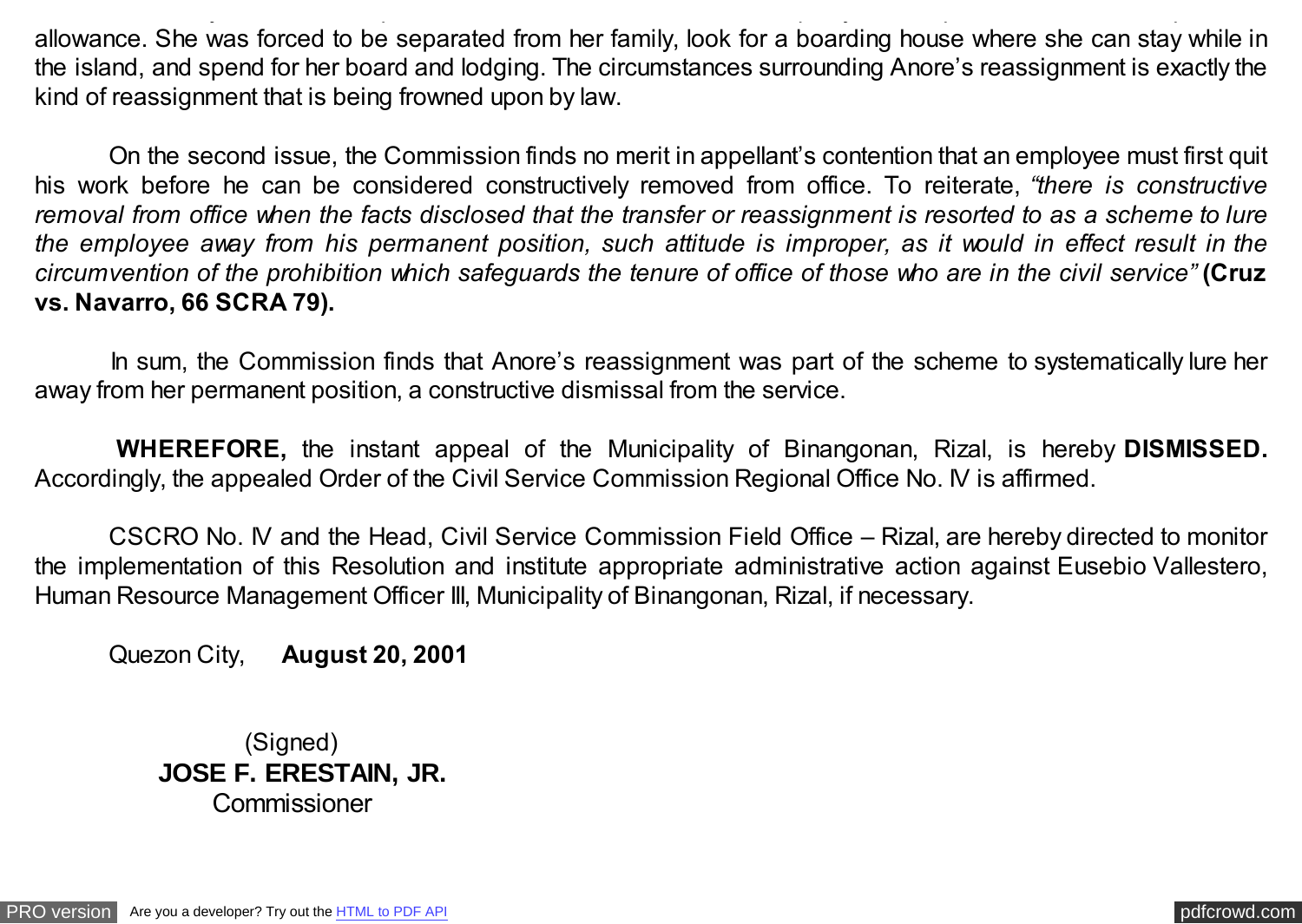allowance. She was forced to be separated from her family, look for a boarding house where she can stay while in the island, and spend for her board and lodging. The circumstances surrounding Anore's reassignment is exactly the kind of reassignment that is being frowned upon by law.

office with any facilities, except its bare structure. Worse, the municipality did not provide her with transportation  $\mu$ 

 On the second issue, the Commission finds no merit in appellant's contention that an employee must first quit his work before he can be considered constructively removed from office. To reiterate, *"there is constructive removal from office when the facts disclosed that the transfer or reassignment is resorted to as a scheme to lure the employee away from his permanent position, such attitude is improper, as it would in effect result in the circumvention of the prohibition which safeguards the tenure of office of those who are in the civil service"* **(Cruz vs. Navarro, 66 SCRA 79).**

In sum, the Commission finds that Anore's reassignment was part of the scheme to systematically lure her away from her permanent position, a constructive dismissal from the service.

 **WHEREFORE,** the instant appeal of the Municipality of Binangonan, Rizal, is hereby **DISMISSED.** Accordingly, the appealed Order of the Civil Service Commission Regional Office No. IV is affirmed.

 CSCRO No. IV and the Head, Civil Service Commission Field Office – Rizal, are hereby directed to monitor the implementation of this Resolution and institute appropriate administrative action against Eusebio Vallestero, Human Resource Management Officer III, Municipality of Binangonan, Rizal, if necessary.

Quezon City, **August 20, 2001**

 (Signed)  **JOSE F. ERESTAIN, JR.** Commissioner